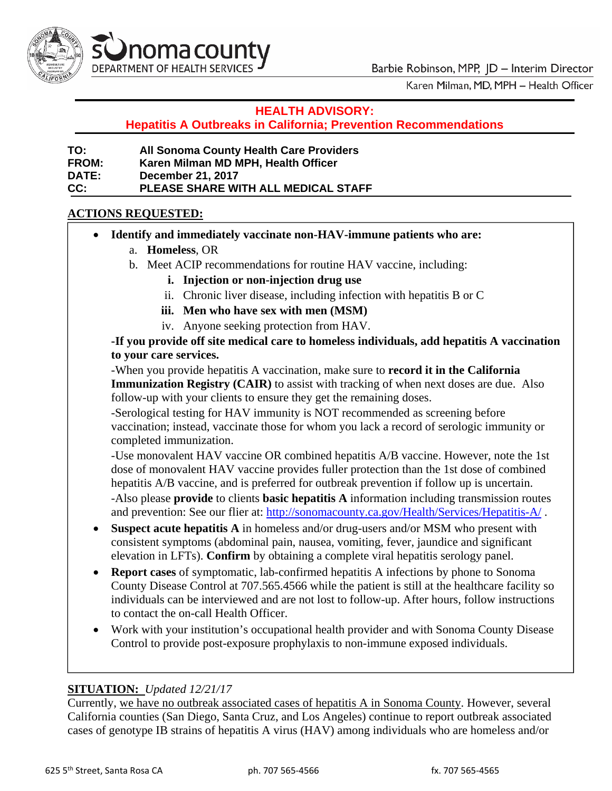

Karen Milman, MD, MPH - Health Officer

#### **HEALTH ADVISORY:**

**Hepatitis A Outbreaks in California; Prevention Recommendations** 

| TO:          | <b>All Sonoma County Health Care Providers</b> |
|--------------|------------------------------------------------|
| <b>FROM:</b> | Karen Milman MD MPH, Health Officer            |
| <b>DATE:</b> | <b>December 21, 2017</b>                       |
| CC.          | <b>PLEASE SHARE WITH ALL MEDICAL STAFF</b>     |

#### **ACTIONS REQUESTED:**

- $\bullet$ **Identify and immediately vaccinate non-HAV-immune patients who are:** 
	- a. **Homeless**, OR
	- b. Meet ACIP recommendations for routine HAV vaccine, including:
		- **i. Injection or non-injection drug use**
		- ii. Chronic liver disease, including infection with hepatitis B or C
		- **iii. Men who have sex with men (MSM)**
		- iv. Anyone seeking protection from HAV.

**-If you provide off site medical care to homeless individuals, add hepatitis A vaccination to your care services.** 

-When you provide hepatitis A vaccination, make sure to **record it in the California Immunization Registry (CAIR)** to assist with tracking of when next doses are due. Also follow-up with your clients to ensure they get the remaining doses.

-Serological testing for HAV immunity is NOT recommended as screening before vaccination; instead, vaccinate those for whom you lack a record of serologic immunity or completed immunization.

-Use monovalent HAV vaccine OR combined hepatitis A/B vaccine. However, note the 1st dose of monovalent HAV vaccine provides fuller protection than the 1st dose of combined hepatitis A/B vaccine, and is preferred for outbreak prevention if follow up is uncertain. -Also please **provide** to clients **basic hepatitis A** information including transmission routes and prevention: See our flier at: http://sonomacounty.ca.gov/Health/Services/Hepatitis-A/ .

 **Suspect acute hepatitis A** in homeless and/or drug-users and/or MSM who present with consistent symptoms (abdominal pain, nausea, vomiting, fever, jaundice and significant elevation in LFTs). **Confirm** by obtaining a complete viral hepatitis serology panel.

- **Report cases** of symptomatic, lab-confirmed hepatitis A infections by phone to Sonoma County Disease Control at 707.565.4566 while the patient is still at the healthcare facility so individuals can be interviewed and are not lost to follow-up. After hours, follow instructions to contact the on-call Health Officer.
- Work with your institution's occupational health provider and with Sonoma County Disease Control to provide post-exposure prophylaxis to non-immune exposed individuals.

### **ITUATION:** *Updated 12/21/17*  **S**

Currently, we have no outbreak associated cases of hepatitis A in Sonoma County. However, several California counties (San Diego, Santa Cruz, and Los Angeles) continue to report outbreak associated cases of genotype IB strains of hepatitis A virus (HAV) among individuals who are homeless and/or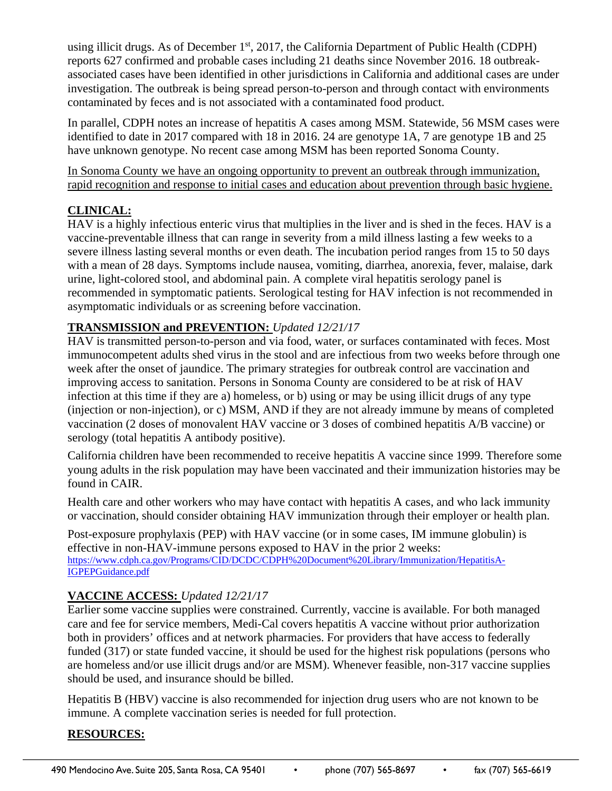using illicit drugs. As of December  $1<sup>st</sup>$ , 2017, the California Department of Public Health (CDPH) reports 627 confirmed and probable cases including 21 deaths since November 2016. 18 outbreakassociated cases have been identified in other jurisdictions in California and additional cases are under investigation. The outbreak is being spread person-to-person and through contact with environments contaminated by feces and is not associated with a contaminated food product.

In parallel, CDPH notes an increase of hepatitis A cases among MSM. Statewide, 56 MSM cases were identified to date in 2017 compared with 18 in 2016. 24 are genotype 1A, 7 are genotype 1B and 25 have unknown genotype. No recent case among MSM has been reported Sonoma County.

In Sonoma County we have an ongoing opportunity to prevent an outbreak through immunization, rapid recognition and response to initial cases and education about prevention through basic hygiene.

### **CLINICAL:**

HAV is a highly infectious enteric virus that multiplies in the liver and is shed in the feces. HAV is a vaccine-preventable illness that can range in severity from a mild illness lasting a few weeks to a severe illness lasting several months or even death. The incubation period ranges from 15 to 50 days with a mean of 28 days. Symptoms include nausea, vomiting, diarrhea, anorexia, fever, malaise, dark urine, light-colored stool, and abdominal pain. A complete viral hepatitis serology panel is recommended in symptomatic patients. Serological testing for HAV infection is not recommended in asymptomatic individuals or as screening before vaccination.

## **TRANSMISSION and PREVENTION:** *Updated 12/21/17*

HAV is transmitted person-to-person and via food, water, or surfaces contaminated with feces. Most immunocompetent adults shed virus in the stool and are infectious from two weeks before through one week after the onset of jaundice. The primary strategies for outbreak control are vaccination and improving access to sanitation. Persons in Sonoma County are considered to be at risk of HAV infection at this time if they are a) homeless, or b) using or may be using illicit drugs of any type (injection or non-injection), or c) MSM, AND if they are not already immune by means of completed vaccination (2 doses of monovalent HAV vaccine or 3 doses of combined hepatitis A/B vaccine) or serology (total hepatitis A antibody positive).

California children have been recommended to receive hepatitis A vaccine since 1999. Therefore some young adults in the risk population may have been vaccinated and their immunization histories may be found in CAIR.

Health care and other workers who may have contact with hepatitis A cases, and who lack immunity or vaccination, should consider obtaining HAV immunization through their employer or health plan.

Post-exposure prophylaxis (PEP) with HAV vaccine (or in some cases, IM immune globulin) is effective in non-HAV-immune persons exposed to HAV in the prior 2 weeks: https://www.cdph.ca.gov/Programs/CID/DCDC/CDPH%20Document%20Library/Immunization/HepatitisA-IGPEPGuidance.pdf

# **VACCINE ACCESS:** *Updated 12/21/17*

Earlier some vaccine supplies were constrained. Currently, vaccine is available. For both managed care and fee for service members, Medi-Cal covers hepatitis A vaccine without prior authorization both in providers' offices and at network pharmacies. For providers that have access to federally funded (317) or state funded vaccine, it should be used for the highest risk populations (persons who are homeless and/or use illicit drugs and/or are MSM). Whenever feasible, non-317 vaccine supplies should be used, and insurance should be billed.

Hepatitis B (HBV) vaccine is also recommended for injection drug users who are not known to be immune. A complete vaccination series is needed for full protection.

# **RESOURCES:**